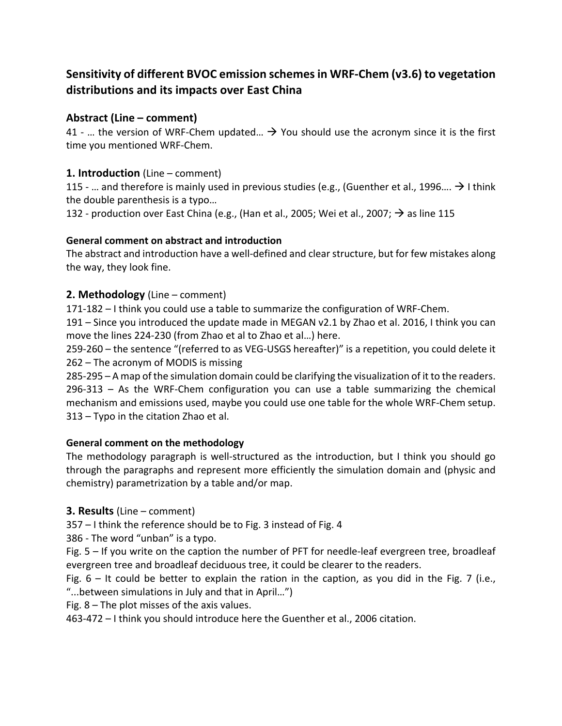# **Sensitivity of different BVOC emission schemes in WRF-Chem (v3.6) to vegetation distributions and its impacts over East China**

# **Abstract (Line – comment)**

41 - ... the version of WRF-Chem updated...  $\rightarrow$  You should use the acronym since it is the first time you mentioned WRF-Chem.

## **1. Introduction** (Line – comment)

115 - ... and therefore is mainly used in previous studies (e.g., (Guenther et al., 1996....  $\rightarrow$  I think the double parenthesis is a typo…

132 - production over East China (e.g., (Han et al., 2005; Wei et al., 2007;  $\rightarrow$  as line 115

#### **General comment on abstract and introduction**

The abstract and introduction have a well-defined and clear structure, but for few mistakes along the way, they look fine.

#### **2. Methodology** (Line – comment)

171-182 – I think you could use a table to summarize the configuration of WRF-Chem.

191 – Since you introduced the update made in MEGAN v2.1 by Zhao et al. 2016, I think you can move the lines 224-230 (from Zhao et al to Zhao et al…) here.

259-260 – the sentence "(referred to as VEG-USGS hereafter)" is a repetition, you could delete it 262 – The acronym of MODIS is missing

285-295 – A map of the simulation domain could be clarifying the visualization of it to the readers. 296-313 – As the WRF-Chem configuration you can use a table summarizing the chemical mechanism and emissions used, maybe you could use one table for the whole WRF-Chem setup. 313 – Typo in the citation Zhao et al.

#### **General comment on the methodology**

The methodology paragraph is well-structured as the introduction, but I think you should go through the paragraphs and represent more efficiently the simulation domain and (physic and chemistry) parametrization by a table and/or map.

#### **3. Results** (Line – comment)

357 – I think the reference should be to Fig. 3 instead of Fig. 4

386 - The word "unban" is a typo.

Fig. 5 – If you write on the caption the number of PFT for needle-leaf evergreen tree, broadleaf evergreen tree and broadleaf deciduous tree, it could be clearer to the readers.

Fig.  $6 -$  It could be better to explain the ration in the caption, as you did in the Fig. 7 (i.e., "...between simulations in July and that in April…")

Fig. 8 – The plot misses of the axis values.

463-472 – I think you should introduce here the Guenther et al., 2006 citation.